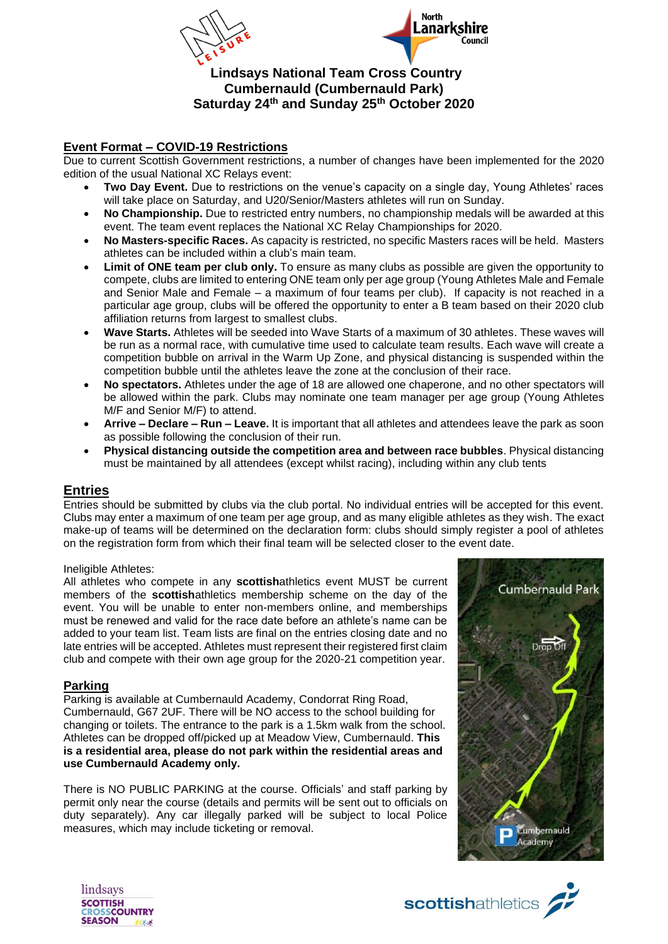



# **Lindsays National Team Cross Country Cumbernauld (Cumbernauld Park) Saturday 24 th and Sunday 25th October 2020**

## **Event Format – COVID-19 Restrictions**

Due to current Scottish Government restrictions, a number of changes have been implemented for the 2020 edition of the usual National XC Relays event:

- **Two Day Event.** Due to restrictions on the venue's capacity on a single day, Young Athletes' races will take place on Saturday, and U20/Senior/Masters athletes will run on Sunday.
- **No Championship.** Due to restricted entry numbers, no championship medals will be awarded at this event. The team event replaces the National XC Relay Championships for 2020.
- **No Masters-specific Races.** As capacity is restricted, no specific Masters races will be held. Masters athletes can be included within a club's main team.
- **Limit of ONE team per club only.** To ensure as many clubs as possible are given the opportunity to compete, clubs are limited to entering ONE team only per age group (Young Athletes Male and Female and Senior Male and Female – a maximum of four teams per club). If capacity is not reached in a particular age group, clubs will be offered the opportunity to enter a B team based on their 2020 club affiliation returns from largest to smallest clubs.
- **Wave Starts.** Athletes will be seeded into Wave Starts of a maximum of 30 athletes. These waves will be run as a normal race, with cumulative time used to calculate team results. Each wave will create a competition bubble on arrival in the Warm Up Zone, and physical distancing is suspended within the competition bubble until the athletes leave the zone at the conclusion of their race.
- **No spectators.** Athletes under the age of 18 are allowed one chaperone, and no other spectators will be allowed within the park. Clubs may nominate one team manager per age group (Young Athletes M/F and Senior M/F) to attend.
- **Arrive – Declare – Run – Leave.** It is important that all athletes and attendees leave the park as soon as possible following the conclusion of their run.
- **Physical distancing outside the competition area and between race bubbles**. Physical distancing must be maintained by all attendees (except whilst racing), including within any club tents

# **Entries**

Entries should be submitted by clubs via the club portal. No individual entries will be accepted for this event. Clubs may enter a maximum of one team per age group, and as many eligible athletes as they wish. The exact make-up of teams will be determined on the declaration form: clubs should simply register a pool of athletes on the registration form from which their final team will be selected closer to the event date.

#### Ineligible Athletes:

All athletes who compete in any **scottish**athletics event MUST be current members of the **scottish**athletics membership scheme on the day of the event. You will be unable to enter non-members online, and memberships must be renewed and valid for the race date before an athlete's name can be added to your team list. Team lists are final on the entries closing date and no late entries will be accepted. Athletes must represent their registered first claim club and compete with their own age group for the 2020-21 competition year.

## **Parking**

Parking is available at Cumbernauld Academy, Condorrat Ring Road, Cumbernauld, G67 2UF. There will be NO access to the school building for changing or toilets. The entrance to the park is a 1.5km walk from the school. Athletes can be dropped off/picked up at Meadow View, Cumbernauld. **This is a residential area, please do not park within the residential areas and use Cumbernauld Academy only.**

There is NO PUBLIC PARKING at the course. Officials' and staff parking by permit only near the course (details and permits will be sent out to officials on duty separately). Any car illegally parked will be subject to local Police measures, which may include ticketing or removal.





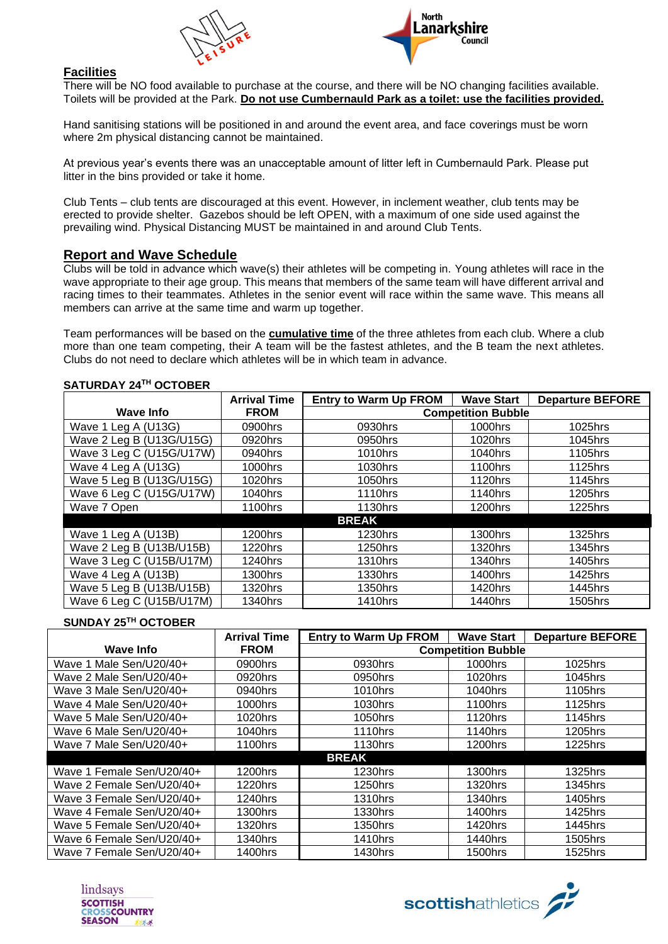



#### **Facilities**

There will be NO food available to purchase at the course, and there will be NO changing facilities available. Toilets will be provided at the Park. **Do not use Cumbernauld Park as a toilet: use the facilities provided.**

Hand sanitising stations will be positioned in and around the event area, and face coverings must be worn where 2m physical distancing cannot be maintained.

At previous year's events there was an unacceptable amount of litter left in Cumbernauld Park. Please put litter in the bins provided or take it home.

Club Tents – club tents are discouraged at this event. However, in inclement weather, club tents may be erected to provide shelter. Gazebos should be left OPEN, with a maximum of one side used against the prevailing wind. Physical Distancing MUST be maintained in and around Club Tents.

#### **Report and Wave Schedule**

Clubs will be told in advance which wave(s) their athletes will be competing in. Young athletes will race in the wave appropriate to their age group. This means that members of the same team will have different arrival and racing times to their teammates. Athletes in the senior event will race within the same wave. This means all members can arrive at the same time and warm up together.

Team performances will be based on the **cumulative time** of the three athletes from each club. Where a club more than one team competing, their A team will be the fastest athletes, and the B team the next athletes. Clubs do not need to declare which athletes will be in which team in advance.

|                          | <b>Arrival Time</b> | <b>Entry to Warm Up FROM</b> | <b>Wave Start</b> | <b>Departure BEFORE</b> |  |  |  |
|--------------------------|---------------------|------------------------------|-------------------|-------------------------|--|--|--|
| <b>Wave Info</b>         | <b>FROM</b>         | <b>Competition Bubble</b>    |                   |                         |  |  |  |
| Wave 1 Leg A (U13G)      | 0900hrs             | 0930hrs                      | 1000hrs           | 1025hrs                 |  |  |  |
| Wave 2 Leg B (U13G/U15G) | 0920hrs             | 0950hrs                      | 1020hrs           | 1045hrs                 |  |  |  |
| Wave 3 Leg C (U15G/U17W) | 0940hrs             | 1010hrs                      | 1040hrs           | 1105hrs                 |  |  |  |
| Wave 4 Leg A (U13G)      | 1000hrs             | 1030hrs                      | 1100hrs           | 1125hrs                 |  |  |  |
| Wave 5 Leg B (U13G/U15G) | 1020hrs             | 1050hrs                      | 1120hrs           | 1145hrs                 |  |  |  |
| Wave 6 Leg C (U15G/U17W) | 1040hrs             | 1110hrs                      | 1140hrs           | 1205hrs                 |  |  |  |
| Wave 7 Open              | 1100hrs             | 1130hrs                      | 1200hrs           | 1225hrs                 |  |  |  |
| <b>BREAK</b>             |                     |                              |                   |                         |  |  |  |
| Wave 1 Leg A (U13B)      | 1200hrs             | 1230hrs                      | 1300hrs           | 1325hrs                 |  |  |  |
| Wave 2 Leg B (U13B/U15B) | 1220hrs             | 1250hrs                      | 1320hrs           | 1345hrs                 |  |  |  |
| Wave 3 Leg C (U15B/U17M) | 1240hrs             | 1310hrs                      | 1340hrs           | 1405hrs                 |  |  |  |
| Wave 4 Leg A (U13B)      | 1300hrs             | 1330hrs                      | 1400hrs           | 1425hrs                 |  |  |  |
| Wave 5 Leg B (U13B/U15B) | 1320hrs             | 1350hrs                      | 1420hrs           | 1445hrs                 |  |  |  |
| Wave 6 Leg C (U15B/U17M) | 1340hrs             | 1410hrs                      | 1440hrs           | 1505hrs                 |  |  |  |

#### **SATURDAY 24TH OCTOBER**

#### **SUNDAY 25TH OCTOBER**

|                           | <b>Arrival Time</b> | <b>Entry to Warm Up FROM</b> | <b>Wave Start</b> | <b>Departure BEFORE</b> |  |  |
|---------------------------|---------------------|------------------------------|-------------------|-------------------------|--|--|
| Wave Info                 | <b>FROM</b>         | <b>Competition Bubble</b>    |                   |                         |  |  |
| Wave 1 Male Sen/U20/40+   | 0900hrs             | 0930hrs                      | 1000hrs           | 1025hrs                 |  |  |
| Wave 2 Male Sen/U20/40+   | 0920hrs             | 0950hrs                      | 1020hrs           | 1045hrs                 |  |  |
| Wave 3 Male Sen/U20/40+   | 0940hrs             | 1010hrs                      | 1040hrs           | 1105hrs                 |  |  |
| Wave 4 Male Sen/U20/40+   | 1000hrs             | 1030hrs                      | 1100hrs           | 1125hrs                 |  |  |
| Wave 5 Male Sen/U20/40+   | 1020hrs             | 1050hrs                      | 1120hrs           | 1145hrs                 |  |  |
| Wave 6 Male Sen/U20/40+   | 1040hrs             | 1110hrs                      | 1140hrs           | 1205hrs                 |  |  |
| Wave 7 Male Sen/U20/40+   | 1100hrs             | 1130hrs                      | 1200hrs           | 1225hrs                 |  |  |
| <b>BREAK</b>              |                     |                              |                   |                         |  |  |
| Wave 1 Female Sen/U20/40+ | 1200hrs             | 1230hrs                      | 1300hrs           | 1325hrs                 |  |  |
| Wave 2 Female Sen/U20/40+ | 1220hrs             | 1250hrs                      | 1320hrs           | 1345hrs                 |  |  |
| Wave 3 Female Sen/U20/40+ | 1240hrs             | 1310hrs                      | 1340hrs           | 1405hrs                 |  |  |
| Wave 4 Female Sen/U20/40+ | 1300hrs             | 1330hrs                      | 1400hrs           | 1425hrs                 |  |  |
| Wave 5 Female Sen/U20/40+ | 1320hrs             | 1350hrs                      | 1420hrs           | 1445hrs                 |  |  |
| Wave 6 Female Sen/U20/40+ | 1340hrs             | 1410hrs                      | 1440hrs           | 1505hrs                 |  |  |
| Wave 7 Female Sen/U20/40+ | 1400hrs             | 1430hrs                      | 1500hrs           | 1525hrs                 |  |  |